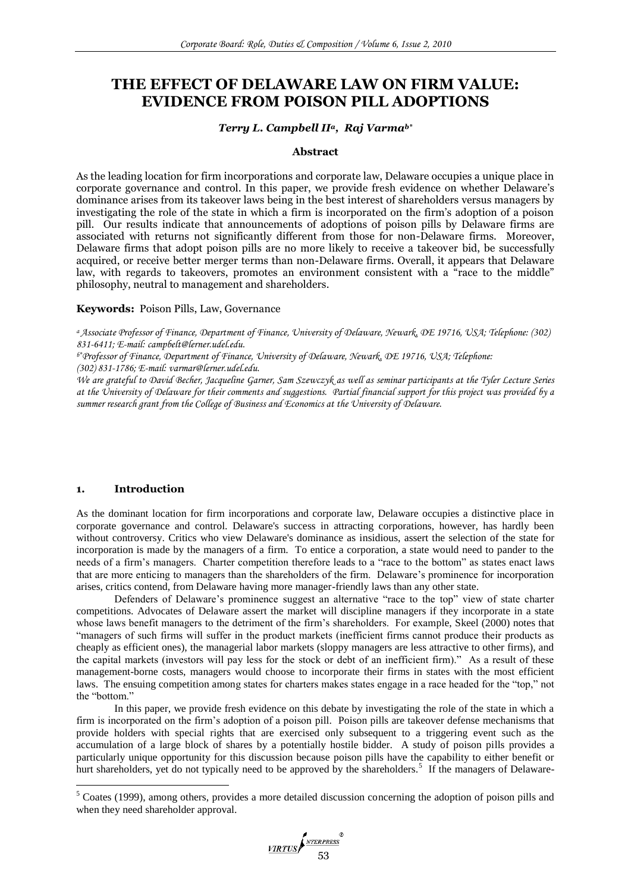# **THE EFFECT OF DELAWARE LAW ON FIRM VALUE: EVIDENCE FROM POISON PILL ADOPTIONS**

# *Terry L. Campbell IIa, Raj Varmab\**

## **Abstract**

As the leading location for firm incorporations and corporate law, Delaware occupies a unique place in corporate governance and control. In this paper, we provide fresh evidence on whether Delaware's dominance arises from its takeover laws being in the best interest of shareholders versus managers by investigating the role of the state in which a firm is incorporated on the firm's adoption of a poison pill. Our results indicate that announcements of adoptions of poison pills by Delaware firms are associated with returns not significantly different from those for non-Delaware firms. Moreover, Delaware firms that adopt poison pills are no more likely to receive a takeover bid, be successfully acquired, or receive better merger terms than non-Delaware firms. Overall, it appears that Delaware law, with regards to takeovers, promotes an environment consistent with a "race to the middle" philosophy, neutral to management and shareholders.

# **Keywords:** Poison Pills, Law, Governance

*<sup>a</sup>Associate Professor of Finance, Department of Finance, University of Delaware, Newark, DE 19716, USA; Telephone: (302) 831-6411; E-mail: campbelt@lerner.udel.edu.*

*b\*Professor of Finance, Department of Finance, University of Delaware, Newark, DE 19716, USA; Telephone:* 

*(302) 831-1786; E-mail: varmar@lerner.udel.edu.*

*We are grateful to David Becher, Jacqueline Garner, Sam Szewczyk as well as seminar participants at the Tyler Lecture Series at the University of Delaware for their comments and suggestions. Partial financial support for this project was provided by a summer research grant from the College of Business and Economics at the University of Delaware.*

# **1. Introduction**

1

As the dominant location for firm incorporations and corporate law, Delaware occupies a distinctive place in corporate governance and control. Delaware's success in attracting corporations, however, has hardly been without controversy. Critics who view Delaware's dominance as insidious, assert the selection of the state for incorporation is made by the managers of a firm. To entice a corporation, a state would need to pander to the needs of a firm"s managers. Charter competition therefore leads to a "race to the bottom" as states enact laws that are more enticing to managers than the shareholders of the firm. Delaware"s prominence for incorporation arises, critics contend, from Delaware having more manager-friendly laws than any other state.

Defenders of Delaware's prominence suggest an alternative "race to the top" view of state charter competitions. Advocates of Delaware assert the market will discipline managers if they incorporate in a state whose laws benefit managers to the detriment of the firm's shareholders. For example, Skeel (2000) notes that "managers of such firms will suffer in the product markets (inefficient firms cannot produce their products as cheaply as efficient ones), the managerial labor markets (sloppy managers are less attractive to other firms), and the capital markets (investors will pay less for the stock or debt of an inefficient firm)." As a result of these management-borne costs, managers would choose to incorporate their firms in states with the most efficient laws. The ensuing competition among states for charters makes states engage in a race headed for the "top," not the "bottom."

In this paper, we provide fresh evidence on this debate by investigating the role of the state in which a firm is incorporated on the firm"s adoption of a poison pill. Poison pills are takeover defense mechanisms that provide holders with special rights that are exercised only subsequent to a triggering event such as the accumulation of a large block of shares by a potentially hostile bidder. A study of poison pills provides a particularly unique opportunity for this discussion because poison pills have the capability to either benefit or hurt shareholders, yet do not typically need to be approved by the shareholders.<sup>5</sup> If the managers of Delaware-

<sup>5</sup> Coates (1999), among others, provides a more detailed discussion concerning the adoption of poison pills and when they need shareholder approval.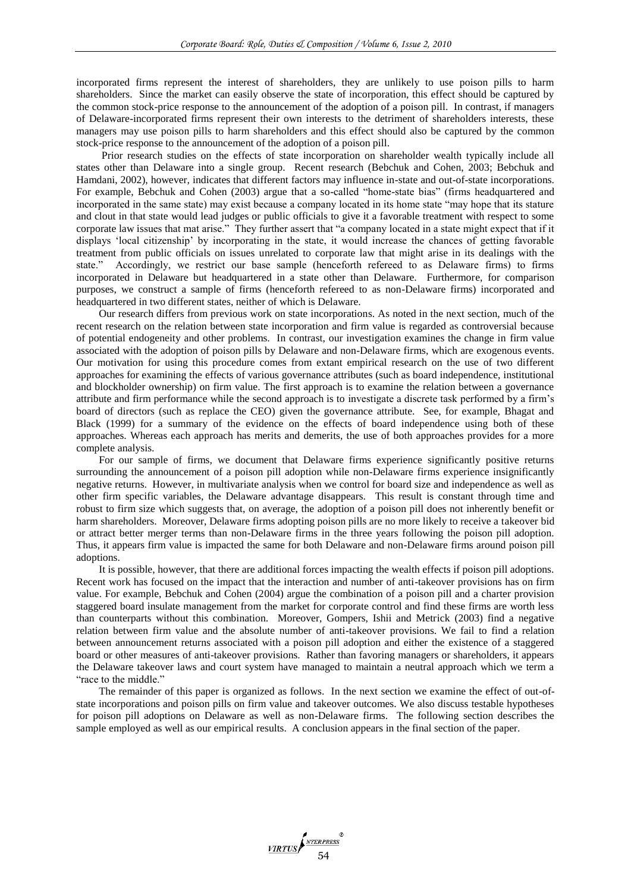incorporated firms represent the interest of shareholders, they are unlikely to use poison pills to harm shareholders. Since the market can easily observe the state of incorporation, this effect should be captured by the common stock-price response to the announcement of the adoption of a poison pill. In contrast, if managers of Delaware-incorporated firms represent their own interests to the detriment of shareholders interests, these managers may use poison pills to harm shareholders and this effect should also be captured by the common stock-price response to the announcement of the adoption of a poison pill.

Prior research studies on the effects of state incorporation on shareholder wealth typically include all states other than Delaware into a single group. Recent research (Bebchuk and Cohen, 2003; Bebchuk and Hamdani, 2002), however, indicates that different factors may influence in-state and out-of-state incorporations. For example, Bebchuk and Cohen (2003) argue that a so-called "home-state bias" (firms headquartered and incorporated in the same state) may exist because a company located in its home state "may hope that its stature and clout in that state would lead judges or public officials to give it a favorable treatment with respect to some corporate law issues that mat arise." They further assert that "a company located in a state might expect that if it displays "local citizenship" by incorporating in the state, it would increase the chances of getting favorable treatment from public officials on issues unrelated to corporate law that might arise in its dealings with the state." Accordingly, we restrict our base sample (henceforth refereed to as Delaware firms) to firms incorporated in Delaware but headquartered in a state other than Delaware. Furthermore, for comparison purposes, we construct a sample of firms (henceforth refereed to as non-Delaware firms) incorporated and headquartered in two different states, neither of which is Delaware.

Our research differs from previous work on state incorporations. As noted in the next section, much of the recent research on the relation between state incorporation and firm value is regarded as controversial because of potential endogeneity and other problems. In contrast, our investigation examines the change in firm value associated with the adoption of poison pills by Delaware and non-Delaware firms, which are exogenous events. Our motivation for using this procedure comes from extant empirical research on the use of two different approaches for examining the effects of various governance attributes (such as board independence, institutional and blockholder ownership) on firm value. The first approach is to examine the relation between a governance attribute and firm performance while the second approach is to investigate a discrete task performed by a firm"s board of directors (such as replace the CEO) given the governance attribute. See, for example, Bhagat and Black (1999) for a summary of the evidence on the effects of board independence using both of these approaches. Whereas each approach has merits and demerits, the use of both approaches provides for a more complete analysis.

For our sample of firms, we document that Delaware firms experience significantly positive returns surrounding the announcement of a poison pill adoption while non-Delaware firms experience insignificantly negative returns. However, in multivariate analysis when we control for board size and independence as well as other firm specific variables, the Delaware advantage disappears. This result is constant through time and robust to firm size which suggests that, on average, the adoption of a poison pill does not inherently benefit or harm shareholders. Moreover, Delaware firms adopting poison pills are no more likely to receive a takeover bid or attract better merger terms than non-Delaware firms in the three years following the poison pill adoption. Thus, it appears firm value is impacted the same for both Delaware and non-Delaware firms around poison pill adoptions.

It is possible, however, that there are additional forces impacting the wealth effects if poison pill adoptions. Recent work has focused on the impact that the interaction and number of anti-takeover provisions has on firm value. For example, Bebchuk and Cohen (2004) argue the combination of a poison pill and a charter provision staggered board insulate management from the market for corporate control and find these firms are worth less than counterparts without this combination. Moreover, Gompers, Ishii and Metrick (2003) find a negative relation between firm value and the absolute number of anti-takeover provisions. We fail to find a relation between announcement returns associated with a poison pill adoption and either the existence of a staggered board or other measures of anti-takeover provisions. Rather than favoring managers or shareholders, it appears the Delaware takeover laws and court system have managed to maintain a neutral approach which we term a "race to the middle."

The remainder of this paper is organized as follows. In the next section we examine the effect of out-ofstate incorporations and poison pills on firm value and takeover outcomes. We also discuss testable hypotheses for poison pill adoptions on Delaware as well as non-Delaware firms. The following section describes the sample employed as well as our empirical results. A conclusion appears in the final section of the paper.

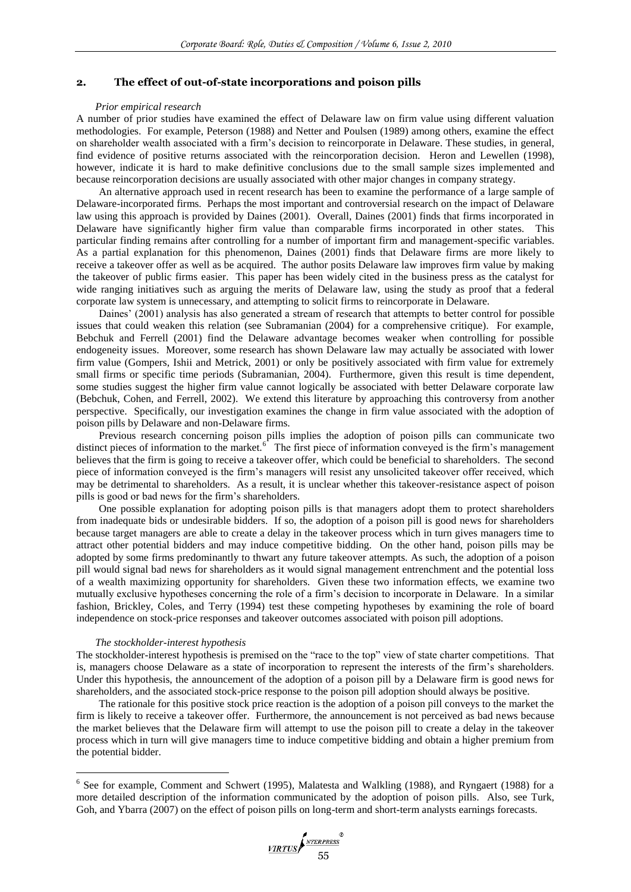# **2. The effect of out-of-state incorporations and poison pills**

#### *Prior empirical research*

A number of prior studies have examined the effect of Delaware law on firm value using different valuation methodologies. For example, Peterson (1988) and Netter and Poulsen (1989) among others, examine the effect on shareholder wealth associated with a firm"s decision to reincorporate in Delaware. These studies, in general, find evidence of positive returns associated with the reincorporation decision. Heron and Lewellen (1998), however, indicate it is hard to make definitive conclusions due to the small sample sizes implemented and because reincorporation decisions are usually associated with other major changes in company strategy.

An alternative approach used in recent research has been to examine the performance of a large sample of Delaware-incorporated firms. Perhaps the most important and controversial research on the impact of Delaware law using this approach is provided by Daines (2001). Overall, Daines (2001) finds that firms incorporated in Delaware have significantly higher firm value than comparable firms incorporated in other states. This particular finding remains after controlling for a number of important firm and management-specific variables. As a partial explanation for this phenomenon, Daines (2001) finds that Delaware firms are more likely to receive a takeover offer as well as be acquired. The author posits Delaware law improves firm value by making the takeover of public firms easier. This paper has been widely cited in the business press as the catalyst for wide ranging initiatives such as arguing the merits of Delaware law, using the study as proof that a federal corporate law system is unnecessary, and attempting to solicit firms to reincorporate in Delaware.

Daines' (2001) analysis has also generated a stream of research that attempts to better control for possible issues that could weaken this relation (see Subramanian (2004) for a comprehensive critique). For example, Bebchuk and Ferrell (2001) find the Delaware advantage becomes weaker when controlling for possible endogeneity issues. Moreover, some research has shown Delaware law may actually be associated with lower firm value (Gompers, Ishii and Metrick, 2001) or only be positively associated with firm value for extremely small firms or specific time periods (Subramanian, 2004). Furthermore, given this result is time dependent, some studies suggest the higher firm value cannot logically be associated with better Delaware corporate law (Bebchuk, Cohen, and Ferrell, 2002). We extend this literature by approaching this controversy from another perspective. Specifically, our investigation examines the change in firm value associated with the adoption of poison pills by Delaware and non-Delaware firms.

Previous research concerning poison pills implies the adoption of poison pills can communicate two distinct pieces of information to the market.<sup>6</sup> The first piece of information conveyed is the firm's management believes that the firm is going to receive a takeover offer, which could be beneficial to shareholders. The second piece of information conveyed is the firm"s managers will resist any unsolicited takeover offer received, which may be detrimental to shareholders. As a result, it is unclear whether this takeover-resistance aspect of poison pills is good or bad news for the firm"s shareholders.

One possible explanation for adopting poison pills is that managers adopt them to protect shareholders from inadequate bids or undesirable bidders. If so, the adoption of a poison pill is good news for shareholders because target managers are able to create a delay in the takeover process which in turn gives managers time to attract other potential bidders and may induce competitive bidding. On the other hand, poison pills may be adopted by some firms predominantly to thwart any future takeover attempts. As such, the adoption of a poison pill would signal bad news for shareholders as it would signal management entrenchment and the potential loss of a wealth maximizing opportunity for shareholders. Given these two information effects, we examine two mutually exclusive hypotheses concerning the role of a firm"s decision to incorporate in Delaware. In a similar fashion, Brickley, Coles, and Terry (1994) test these competing hypotheses by examining the role of board independence on stock-price responses and takeover outcomes associated with poison pill adoptions.

## *The stockholder-interest hypothesis*

<u>.</u>

The stockholder-interest hypothesis is premised on the "race to the top" view of state charter competitions. That is, managers choose Delaware as a state of incorporation to represent the interests of the firm"s shareholders. Under this hypothesis, the announcement of the adoption of a poison pill by a Delaware firm is good news for shareholders, and the associated stock-price response to the poison pill adoption should always be positive.

The rationale for this positive stock price reaction is the adoption of a poison pill conveys to the market the firm is likely to receive a takeover offer. Furthermore, the announcement is not perceived as bad news because the market believes that the Delaware firm will attempt to use the poison pill to create a delay in the takeover process which in turn will give managers time to induce competitive bidding and obtain a higher premium from the potential bidder.

<sup>&</sup>lt;sup>6</sup> See for example, Comment and Schwert (1995), Malatesta and Walkling (1988), and Ryngaert (1988) for a more detailed description of the information communicated by the adoption of poison pills. Also, see Turk, Goh, and Ybarra (2007) on the effect of poison pills on long-term and short-term analysts earnings forecasts.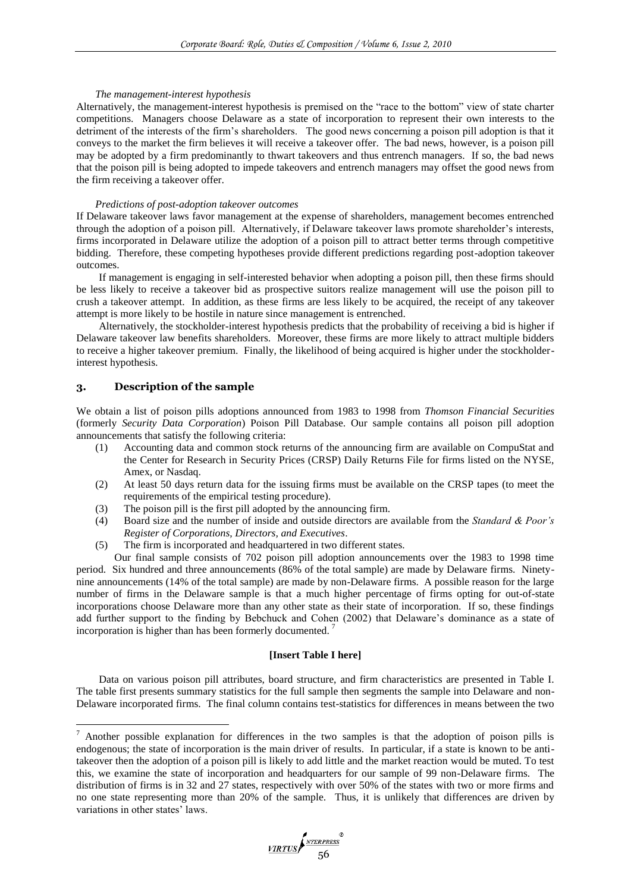#### *The management-interest hypothesis*

Alternatively, the management-interest hypothesis is premised on the "race to the bottom" view of state charter competitions. Managers choose Delaware as a state of incorporation to represent their own interests to the detriment of the interests of the firm"s shareholders. The good news concerning a poison pill adoption is that it conveys to the market the firm believes it will receive a takeover offer. The bad news, however, is a poison pill may be adopted by a firm predominantly to thwart takeovers and thus entrench managers. If so, the bad news that the poison pill is being adopted to impede takeovers and entrench managers may offset the good news from the firm receiving a takeover offer.

## *Predictions of post-adoption takeover outcomes*

If Delaware takeover laws favor management at the expense of shareholders, management becomes entrenched through the adoption of a poison pill. Alternatively, if Delaware takeover laws promote shareholder"s interests, firms incorporated in Delaware utilize the adoption of a poison pill to attract better terms through competitive bidding. Therefore, these competing hypotheses provide different predictions regarding post-adoption takeover outcomes.

If management is engaging in self-interested behavior when adopting a poison pill, then these firms should be less likely to receive a takeover bid as prospective suitors realize management will use the poison pill to crush a takeover attempt. In addition, as these firms are less likely to be acquired, the receipt of any takeover attempt is more likely to be hostile in nature since management is entrenched.

Alternatively, the stockholder-interest hypothesis predicts that the probability of receiving a bid is higher if Delaware takeover law benefits shareholders. Moreover, these firms are more likely to attract multiple bidders to receive a higher takeover premium. Finally, the likelihood of being acquired is higher under the stockholderinterest hypothesis.

# **3. Description of the sample**

1

We obtain a list of poison pills adoptions announced from 1983 to 1998 from *Thomson Financial Securities* (formerly *Security Data Corporation*) Poison Pill Database. Our sample contains all poison pill adoption announcements that satisfy the following criteria:

- (1) Accounting data and common stock returns of the announcing firm are available on CompuStat and the Center for Research in Security Prices (CRSP) Daily Returns File for firms listed on the NYSE, Amex, or Nasdaq.
- (2) At least 50 days return data for the issuing firms must be available on the CRSP tapes (to meet the requirements of the empirical testing procedure).
- (3) The poison pill is the first pill adopted by the announcing firm.
- (4) Board size and the number of inside and outside directors are available from the *Standard & Poor's Register of Corporations, Directors, and Executives*.
- (5) The firm is incorporated and headquartered in two different states.

Our final sample consists of 702 poison pill adoption announcements over the 1983 to 1998 time period. Six hundred and three announcements (86% of the total sample) are made by Delaware firms. Ninetynine announcements (14% of the total sample) are made by non-Delaware firms. A possible reason for the large number of firms in the Delaware sample is that a much higher percentage of firms opting for out-of-state incorporations choose Delaware more than any other state as their state of incorporation. If so, these findings add further support to the finding by Bebchuck and Cohen (2002) that Delaware"s dominance as a state of incorporation is higher than has been formerly documented.

# **[Insert Table I here]**

Data on various poison pill attributes, board structure, and firm characteristics are presented in Table I. The table first presents summary statistics for the full sample then segments the sample into Delaware and non-Delaware incorporated firms. The final column contains test-statistics for differences in means between the two

<sup>&</sup>lt;sup>7</sup> Another possible explanation for differences in the two samples is that the adoption of poison pills is endogenous; the state of incorporation is the main driver of results. In particular, if a state is known to be antitakeover then the adoption of a poison pill is likely to add little and the market reaction would be muted. To test this, we examine the state of incorporation and headquarters for our sample of 99 non-Delaware firms. The distribution of firms is in 32 and 27 states, respectively with over 50% of the states with two or more firms and no one state representing more than 20% of the sample. Thus, it is unlikely that differences are driven by variations in other states' laws.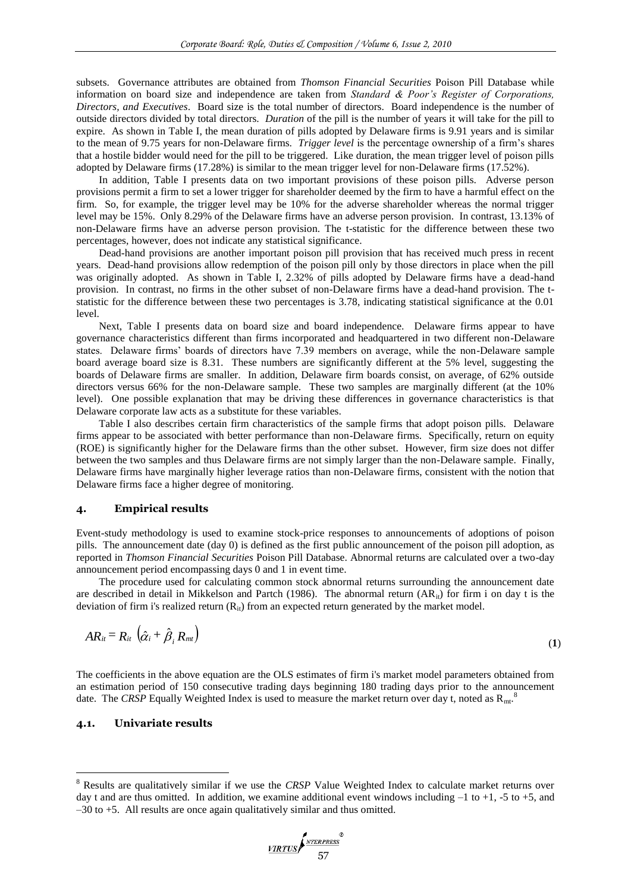subsets. Governance attributes are obtained from *Thomson Financial Securities* Poison Pill Database while information on board size and independence are taken from *Standard & Poor's Register of Corporations, Directors, and Executives*. Board size is the total number of directors. Board independence is the number of outside directors divided by total directors. *Duration* of the pill is the number of years it will take for the pill to expire. As shown in Table I, the mean duration of pills adopted by Delaware firms is 9.91 years and is similar to the mean of 9.75 years for non-Delaware firms. *Trigger level* is the percentage ownership of a firm"s shares that a hostile bidder would need for the pill to be triggered. Like duration, the mean trigger level of poison pills adopted by Delaware firms (17.28%) is similar to the mean trigger level for non-Delaware firms (17.52%).

In addition, Table I presents data on two important provisions of these poison pills. Adverse person provisions permit a firm to set a lower trigger for shareholder deemed by the firm to have a harmful effect on the firm. So, for example, the trigger level may be 10% for the adverse shareholder whereas the normal trigger level may be 15%. Only 8.29% of the Delaware firms have an adverse person provision. In contrast, 13.13% of non-Delaware firms have an adverse person provision. The t-statistic for the difference between these two percentages, however, does not indicate any statistical significance.

Dead-hand provisions are another important poison pill provision that has received much press in recent years. Dead-hand provisions allow redemption of the poison pill only by those directors in place when the pill was originally adopted. As shown in Table I, 2.32% of pills adopted by Delaware firms have a dead-hand provision. In contrast, no firms in the other subset of non-Delaware firms have a dead-hand provision. The tstatistic for the difference between these two percentages is 3.78, indicating statistical significance at the 0.01 level.

Next, Table I presents data on board size and board independence. Delaware firms appear to have governance characteristics different than firms incorporated and headquartered in two different non-Delaware states. Delaware firms" boards of directors have 7.39 members on average, while the non-Delaware sample board average board size is 8.31. These numbers are significantly different at the 5% level, suggesting the boards of Delaware firms are smaller. In addition, Delaware firm boards consist, on average, of 62% outside directors versus 66% for the non-Delaware sample. These two samples are marginally different (at the 10% level). One possible explanation that may be driving these differences in governance characteristics is that Delaware corporate law acts as a substitute for these variables.

Table I also describes certain firm characteristics of the sample firms that adopt poison pills. Delaware firms appear to be associated with better performance than non-Delaware firms. Specifically, return on equity (ROE) is significantly higher for the Delaware firms than the other subset. However, firm size does not differ between the two samples and thus Delaware firms are not simply larger than the non-Delaware sample. Finally, Delaware firms have marginally higher leverage ratios than non-Delaware firms, consistent with the notion that Delaware firms face a higher degree of monitoring.

# **4. Empirical results**

Event-study methodology is used to examine stock-price responses to announcements of adoptions of poison pills. The announcement date (day 0) is defined as the first public announcement of the poison pill adoption, as reported in *Thomson Financial Securities* Poison Pill Database. Abnormal returns are calculated over a two-day announcement period encompassing days 0 and 1 in event time.

The procedure used for calculating common stock abnormal returns surrounding the announcement date are described in detail in Mikkelson and Partch (1986). The abnormal return  $(AR_{it})$  for firm i on day t is the deviation of firm i's realized return  $(R_{it})$  from an expected return generated by the market model.

$$
AR_{it} = R_{it} \left( \hat{\alpha}_i + \hat{\beta}_i R_{mt} \right) \tag{1}
$$

The coefficients in the above equation are the OLS estimates of firm i's market model parameters obtained from an estimation period of 150 consecutive trading days beginning 180 trading days prior to the announcement date. The CRSP Equally Weighted Index is used to measure the market return over day t, noted as  $R_{mt}$ .<sup>8</sup>

# **4.1. Univariate results**

<u>.</u>

<sup>8</sup> Results are qualitatively similar if we use the *CRSP* Value Weighted Index to calculate market returns over day t and are thus omitted. In addition, we examine additional event windows including  $-1$  to  $+1$ ,  $-5$  to  $+5$ , and –30 to +5. All results are once again qualitatively similar and thus omitted.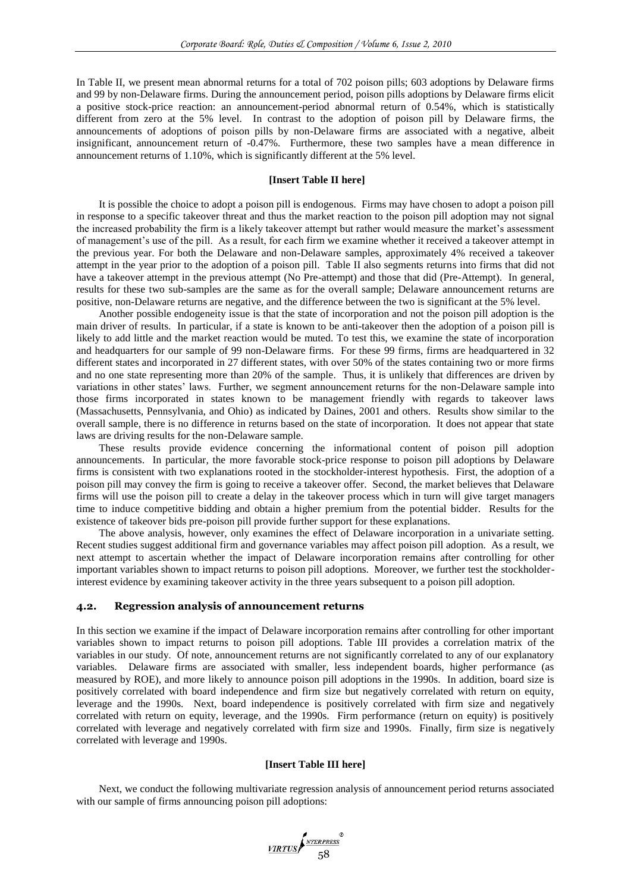In Table II, we present mean abnormal returns for a total of 702 poison pills; 603 adoptions by Delaware firms and 99 by non-Delaware firms. During the announcement period, poison pills adoptions by Delaware firms elicit a positive stock-price reaction: an announcement-period abnormal return of 0.54%, which is statistically different from zero at the 5% level. In contrast to the adoption of poison pill by Delaware firms, the announcements of adoptions of poison pills by non-Delaware firms are associated with a negative, albeit insignificant, announcement return of -0.47%. Furthermore, these two samples have a mean difference in announcement returns of 1.10%, which is significantly different at the 5% level.

#### **[Insert Table II here]**

It is possible the choice to adopt a poison pill is endogenous. Firms may have chosen to adopt a poison pill in response to a specific takeover threat and thus the market reaction to the poison pill adoption may not signal the increased probability the firm is a likely takeover attempt but rather would measure the market's assessment of management"s use of the pill. As a result, for each firm we examine whether it received a takeover attempt in the previous year. For both the Delaware and non-Delaware samples, approximately 4% received a takeover attempt in the year prior to the adoption of a poison pill. Table II also segments returns into firms that did not have a takeover attempt in the previous attempt (No Pre-attempt) and those that did (Pre-Attempt). In general, results for these two sub-samples are the same as for the overall sample; Delaware announcement returns are positive, non-Delaware returns are negative, and the difference between the two is significant at the 5% level.

Another possible endogeneity issue is that the state of incorporation and not the poison pill adoption is the main driver of results. In particular, if a state is known to be anti-takeover then the adoption of a poison pill is likely to add little and the market reaction would be muted. To test this, we examine the state of incorporation and headquarters for our sample of 99 non-Delaware firms. For these 99 firms, firms are headquartered in 32 different states and incorporated in 27 different states, with over 50% of the states containing two or more firms and no one state representing more than 20% of the sample. Thus, it is unlikely that differences are driven by variations in other states" laws. Further, we segment announcement returns for the non-Delaware sample into those firms incorporated in states known to be management friendly with regards to takeover laws (Massachusetts, Pennsylvania, and Ohio) as indicated by Daines, 2001 and others. Results show similar to the overall sample, there is no difference in returns based on the state of incorporation. It does not appear that state laws are driving results for the non-Delaware sample.

These results provide evidence concerning the informational content of poison pill adoption announcements. In particular, the more favorable stock-price response to poison pill adoptions by Delaware firms is consistent with two explanations rooted in the stockholder-interest hypothesis. First, the adoption of a poison pill may convey the firm is going to receive a takeover offer. Second, the market believes that Delaware firms will use the poison pill to create a delay in the takeover process which in turn will give target managers time to induce competitive bidding and obtain a higher premium from the potential bidder. Results for the existence of takeover bids pre-poison pill provide further support for these explanations.

The above analysis, however, only examines the effect of Delaware incorporation in a univariate setting. Recent studies suggest additional firm and governance variables may affect poison pill adoption. As a result, we next attempt to ascertain whether the impact of Delaware incorporation remains after controlling for other important variables shown to impact returns to poison pill adoptions. Moreover, we further test the stockholderinterest evidence by examining takeover activity in the three years subsequent to a poison pill adoption.

#### **4.2. Regression analysis of announcement returns**

In this section we examine if the impact of Delaware incorporation remains after controlling for other important variables shown to impact returns to poison pill adoptions. Table III provides a correlation matrix of the variables in our study. Of note, announcement returns are not significantly correlated to any of our explanatory variables. Delaware firms are associated with smaller, less independent boards, higher performance (as measured by ROE), and more likely to announce poison pill adoptions in the 1990s. In addition, board size is positively correlated with board independence and firm size but negatively correlated with return on equity, leverage and the 1990s. Next, board independence is positively correlated with firm size and negatively correlated with return on equity, leverage, and the 1990s. Firm performance (return on equity) is positively correlated with leverage and negatively correlated with firm size and 1990s. Finally, firm size is negatively correlated with leverage and 1990s.

## **[Insert Table III here]**

Next, we conduct the following multivariate regression analysis of announcement period returns associated with our sample of firms announcing poison pill adoptions:

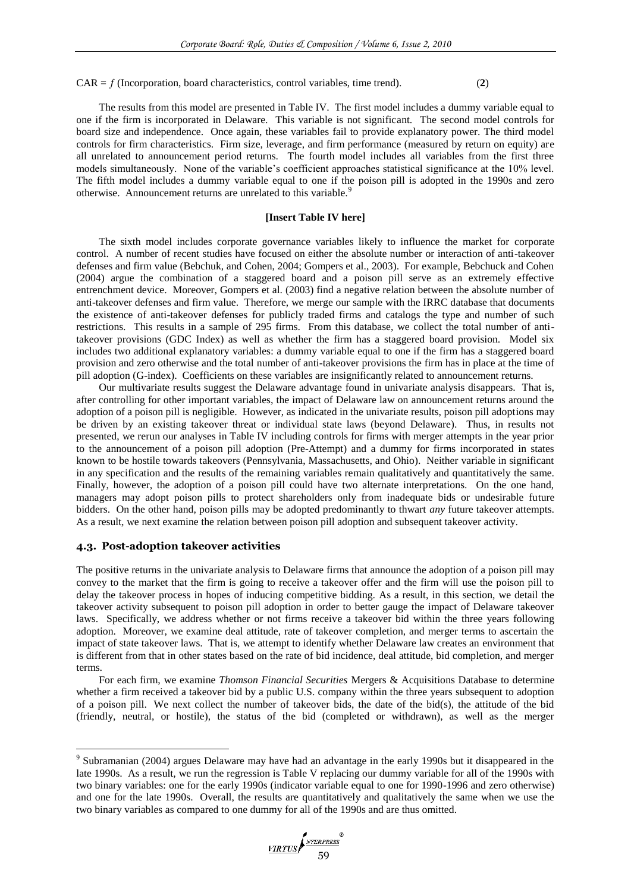$CAR = f (Incorporation, board characteristics, control variables, time trend).$  (2)

The results from this model are presented in Table IV. The first model includes a dummy variable equal to one if the firm is incorporated in Delaware. This variable is not significant. The second model controls for board size and independence. Once again, these variables fail to provide explanatory power. The third model controls for firm characteristics. Firm size, leverage, and firm performance (measured by return on equity) are all unrelated to announcement period returns. The fourth model includes all variables from the first three models simultaneously. None of the variable"s coefficient approaches statistical significance at the 10% level. The fifth model includes a dummy variable equal to one if the poison pill is adopted in the 1990s and zero otherwise. Announcement returns are unrelated to this variable.<sup>9</sup>

# **[Insert Table IV here]**

The sixth model includes corporate governance variables likely to influence the market for corporate control. A number of recent studies have focused on either the absolute number or interaction of anti-takeover defenses and firm value (Bebchuk, and Cohen, 2004; Gompers et al., 2003). For example, Bebchuck and Cohen (2004) argue the combination of a staggered board and a poison pill serve as an extremely effective entrenchment device. Moreover, Gompers et al. (2003) find a negative relation between the absolute number of anti-takeover defenses and firm value. Therefore, we merge our sample with the IRRC database that documents the existence of anti-takeover defenses for publicly traded firms and catalogs the type and number of such restrictions. This results in a sample of 295 firms. From this database, we collect the total number of antitakeover provisions (GDC Index) as well as whether the firm has a staggered board provision. Model six includes two additional explanatory variables: a dummy variable equal to one if the firm has a staggered board provision and zero otherwise and the total number of anti-takeover provisions the firm has in place at the time of pill adoption (G-index). Coefficients on these variables are insignificantly related to announcement returns.

Our multivariate results suggest the Delaware advantage found in univariate analysis disappears. That is, after controlling for other important variables, the impact of Delaware law on announcement returns around the adoption of a poison pill is negligible. However, as indicated in the univariate results, poison pill adoptions may be driven by an existing takeover threat or individual state laws (beyond Delaware). Thus, in results not presented, we rerun our analyses in Table IV including controls for firms with merger attempts in the year prior to the announcement of a poison pill adoption (Pre-Attempt) and a dummy for firms incorporated in states known to be hostile towards takeovers (Pennsylvania, Massachusetts, and Ohio). Neither variable in significant in any specification and the results of the remaining variables remain qualitatively and quantitatively the same. Finally, however, the adoption of a poison pill could have two alternate interpretations. On the one hand, managers may adopt poison pills to protect shareholders only from inadequate bids or undesirable future bidders. On the other hand, poison pills may be adopted predominantly to thwart *any* future takeover attempts. As a result, we next examine the relation between poison pill adoption and subsequent takeover activity.

## **4.3. Post-adoption takeover activities**

<u>.</u>

The positive returns in the univariate analysis to Delaware firms that announce the adoption of a poison pill may convey to the market that the firm is going to receive a takeover offer and the firm will use the poison pill to delay the takeover process in hopes of inducing competitive bidding. As a result, in this section, we detail the takeover activity subsequent to poison pill adoption in order to better gauge the impact of Delaware takeover laws. Specifically, we address whether or not firms receive a takeover bid within the three years following adoption. Moreover, we examine deal attitude, rate of takeover completion, and merger terms to ascertain the impact of state takeover laws. That is, we attempt to identify whether Delaware law creates an environment that is different from that in other states based on the rate of bid incidence, deal attitude, bid completion, and merger terms.

For each firm, we examine *Thomson Financial Securities* Mergers & Acquisitions Database to determine whether a firm received a takeover bid by a public U.S. company within the three years subsequent to adoption of a poison pill. We next collect the number of takeover bids, the date of the bid(s), the attitude of the bid (friendly, neutral, or hostile), the status of the bid (completed or withdrawn), as well as the merger

<sup>&</sup>lt;sup>9</sup> Subramanian (2004) argues Delaware may have had an advantage in the early 1990s but it disappeared in the late 1990s. As a result, we run the regression is Table V replacing our dummy variable for all of the 1990s with two binary variables: one for the early 1990s (indicator variable equal to one for 1990-1996 and zero otherwise) and one for the late 1990s. Overall, the results are quantitatively and qualitatively the same when we use the two binary variables as compared to one dummy for all of the 1990s and are thus omitted.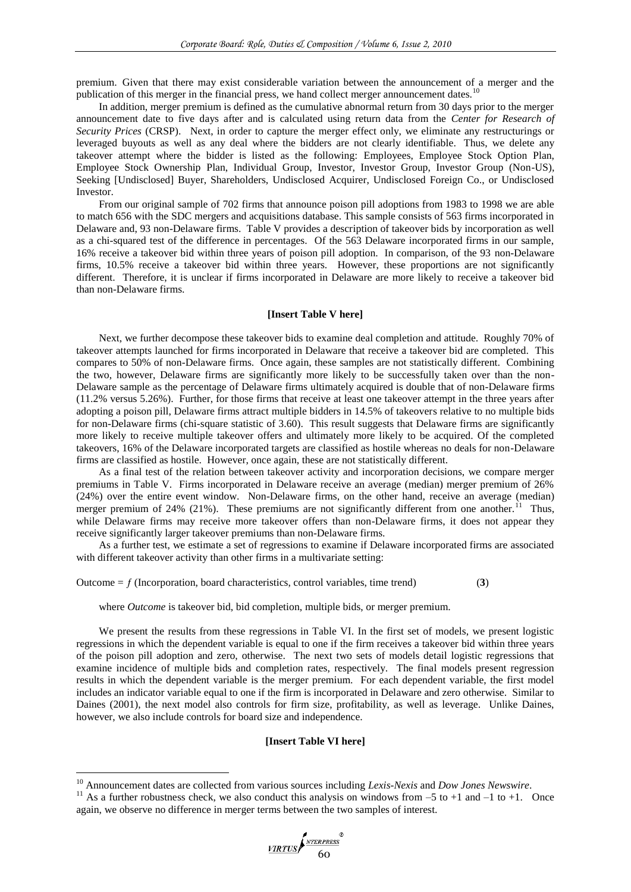premium. Given that there may exist considerable variation between the announcement of a merger and the publication of this merger in the financial press, we hand collect merger announcement dates.<sup>10</sup>

In addition, merger premium is defined as the cumulative abnormal return from 30 days prior to the merger announcement date to five days after and is calculated using return data from the *Center for Research of Security Prices* (CRSP). Next, in order to capture the merger effect only, we eliminate any restructurings or leveraged buyouts as well as any deal where the bidders are not clearly identifiable. Thus, we delete any takeover attempt where the bidder is listed as the following: Employees, Employee Stock Option Plan, Employee Stock Ownership Plan, Individual Group, Investor, Investor Group, Investor Group (Non-US), Seeking [Undisclosed] Buyer, Shareholders, Undisclosed Acquirer, Undisclosed Foreign Co., or Undisclosed Investor.

From our original sample of 702 firms that announce poison pill adoptions from 1983 to 1998 we are able to match 656 with the SDC mergers and acquisitions database. This sample consists of 563 firms incorporated in Delaware and, 93 non-Delaware firms. Table V provides a description of takeover bids by incorporation as well as a chi-squared test of the difference in percentages. Of the 563 Delaware incorporated firms in our sample, 16% receive a takeover bid within three years of poison pill adoption. In comparison, of the 93 non-Delaware firms, 10.5% receive a takeover bid within three years. However, these proportions are not significantly different. Therefore, it is unclear if firms incorporated in Delaware are more likely to receive a takeover bid than non-Delaware firms.

## **[Insert Table V here]**

Next, we further decompose these takeover bids to examine deal completion and attitude. Roughly 70% of takeover attempts launched for firms incorporated in Delaware that receive a takeover bid are completed. This compares to 50% of non-Delaware firms. Once again, these samples are not statistically different. Combining the two, however, Delaware firms are significantly more likely to be successfully taken over than the non-Delaware sample as the percentage of Delaware firms ultimately acquired is double that of non-Delaware firms (11.2% versus 5.26%). Further, for those firms that receive at least one takeover attempt in the three years after adopting a poison pill, Delaware firms attract multiple bidders in 14.5% of takeovers relative to no multiple bids for non-Delaware firms (chi-square statistic of 3.60). This result suggests that Delaware firms are significantly more likely to receive multiple takeover offers and ultimately more likely to be acquired. Of the completed takeovers, 16% of the Delaware incorporated targets are classified as hostile whereas no deals for non-Delaware firms are classified as hostile. However, once again, these are not statistically different.

As a final test of the relation between takeover activity and incorporation decisions, we compare merger premiums in Table V. Firms incorporated in Delaware receive an average (median) merger premium of 26% (24%) over the entire event window. Non-Delaware firms, on the other hand, receive an average (median) merger premium of 24% (21%). These premiums are not significantly different from one another.<sup>11</sup> Thus, while Delaware firms may receive more takeover offers than non-Delaware firms, it does not appear they receive significantly larger takeover premiums than non-Delaware firms.

As a further test, we estimate a set of regressions to examine if Delaware incorporated firms are associated with different takeover activity than other firms in a multivariate setting:

Outcome  $= f$  (Incorporation, board characteristics, control variables, time trend)  $(3)$ 

where *Outcome* is takeover bid, bid completion, multiple bids, or merger premium.

We present the results from these regressions in Table VI. In the first set of models, we present logistic regressions in which the dependent variable is equal to one if the firm receives a takeover bid within three years of the poison pill adoption and zero, otherwise. The next two sets of models detail logistic regressions that examine incidence of multiple bids and completion rates, respectively. The final models present regression results in which the dependent variable is the merger premium. For each dependent variable, the first model includes an indicator variable equal to one if the firm is incorporated in Delaware and zero otherwise. Similar to Daines (2001), the next model also controls for firm size, profitability, as well as leverage. Unlike Daines, however, we also include controls for board size and independence.

#### **[Insert Table VI here]**

<u>.</u>

<sup>10</sup> Announcement dates are collected from various sources including *Lexis-Nexis* and *Dow Jones Newswire*.

<sup>&</sup>lt;sup>11</sup> As a further robustness check, we also conduct this analysis on windows from  $-5$  to  $+1$  and  $-1$  to  $+1$ . Once again, we observe no difference in merger terms between the two samples of interest.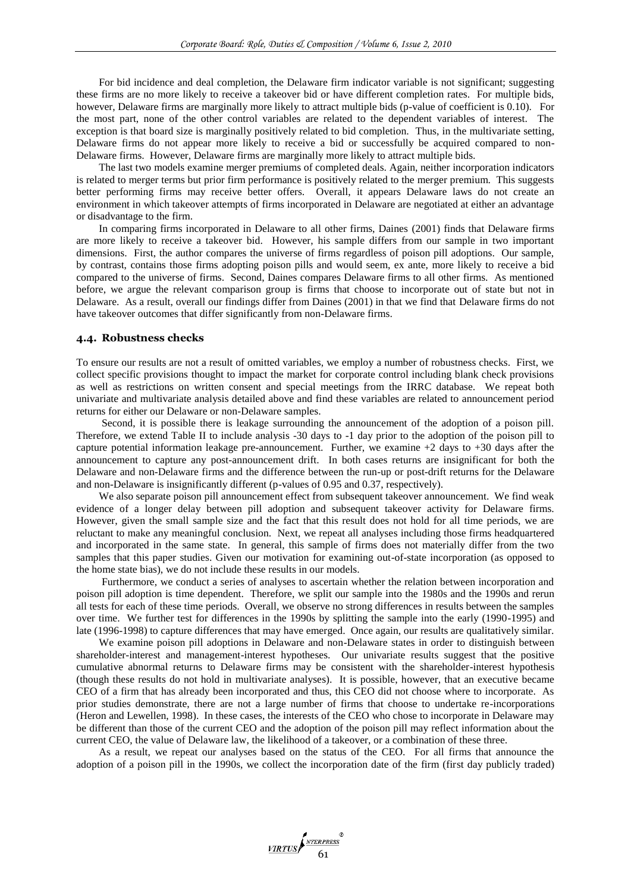For bid incidence and deal completion, the Delaware firm indicator variable is not significant; suggesting these firms are no more likely to receive a takeover bid or have different completion rates. For multiple bids, however, Delaware firms are marginally more likely to attract multiple bids (p-value of coefficient is 0.10). For the most part, none of the other control variables are related to the dependent variables of interest. The exception is that board size is marginally positively related to bid completion. Thus, in the multivariate setting, Delaware firms do not appear more likely to receive a bid or successfully be acquired compared to non-Delaware firms. However, Delaware firms are marginally more likely to attract multiple bids.

The last two models examine merger premiums of completed deals. Again, neither incorporation indicators is related to merger terms but prior firm performance is positively related to the merger premium. This suggests better performing firms may receive better offers. Overall, it appears Delaware laws do not create an environment in which takeover attempts of firms incorporated in Delaware are negotiated at either an advantage or disadvantage to the firm.

In comparing firms incorporated in Delaware to all other firms, Daines (2001) finds that Delaware firms are more likely to receive a takeover bid. However, his sample differs from our sample in two important dimensions. First, the author compares the universe of firms regardless of poison pill adoptions. Our sample, by contrast, contains those firms adopting poison pills and would seem, ex ante, more likely to receive a bid compared to the universe of firms. Second, Daines compares Delaware firms to all other firms. As mentioned before, we argue the relevant comparison group is firms that choose to incorporate out of state but not in Delaware. As a result, overall our findings differ from Daines (2001) in that we find that Delaware firms do not have takeover outcomes that differ significantly from non-Delaware firms.

#### **4.4. Robustness checks**

To ensure our results are not a result of omitted variables, we employ a number of robustness checks. First, we collect specific provisions thought to impact the market for corporate control including blank check provisions as well as restrictions on written consent and special meetings from the IRRC database. We repeat both univariate and multivariate analysis detailed above and find these variables are related to announcement period returns for either our Delaware or non-Delaware samples.

Second, it is possible there is leakage surrounding the announcement of the adoption of a poison pill. Therefore, we extend Table II to include analysis -30 days to -1 day prior to the adoption of the poison pill to capture potential information leakage pre-announcement. Further, we examine  $+2$  days to  $+30$  days after the announcement to capture any post-announcement drift. In both cases returns are insignificant for both the Delaware and non-Delaware firms and the difference between the run-up or post-drift returns for the Delaware and non-Delaware is insignificantly different (p-values of 0.95 and 0.37, respectively).

We also separate poison pill announcement effect from subsequent takeover announcement. We find weak evidence of a longer delay between pill adoption and subsequent takeover activity for Delaware firms. However, given the small sample size and the fact that this result does not hold for all time periods, we are reluctant to make any meaningful conclusion. Next, we repeat all analyses including those firms headquartered and incorporated in the same state. In general, this sample of firms does not materially differ from the two samples that this paper studies. Given our motivation for examining out-of-state incorporation (as opposed to the home state bias), we do not include these results in our models.

Furthermore, we conduct a series of analyses to ascertain whether the relation between incorporation and poison pill adoption is time dependent. Therefore, we split our sample into the 1980s and the 1990s and rerun all tests for each of these time periods. Overall, we observe no strong differences in results between the samples over time. We further test for differences in the 1990s by splitting the sample into the early (1990-1995) and late (1996-1998) to capture differences that may have emerged. Once again, our results are qualitatively similar.

We examine poison pill adoptions in Delaware and non-Delaware states in order to distinguish between shareholder-interest and management-interest hypotheses. Our univariate results suggest that the positive cumulative abnormal returns to Delaware firms may be consistent with the shareholder-interest hypothesis (though these results do not hold in multivariate analyses). It is possible, however, that an executive became CEO of a firm that has already been incorporated and thus, this CEO did not choose where to incorporate. As prior studies demonstrate, there are not a large number of firms that choose to undertake re-incorporations (Heron and Lewellen, 1998). In these cases, the interests of the CEO who chose to incorporate in Delaware may be different than those of the current CEO and the adoption of the poison pill may reflect information about the current CEO, the value of Delaware law, the likelihood of a takeover, or a combination of these three.

As a result, we repeat our analyses based on the status of the CEO. For all firms that announce the adoption of a poison pill in the 1990s, we collect the incorporation date of the firm (first day publicly traded)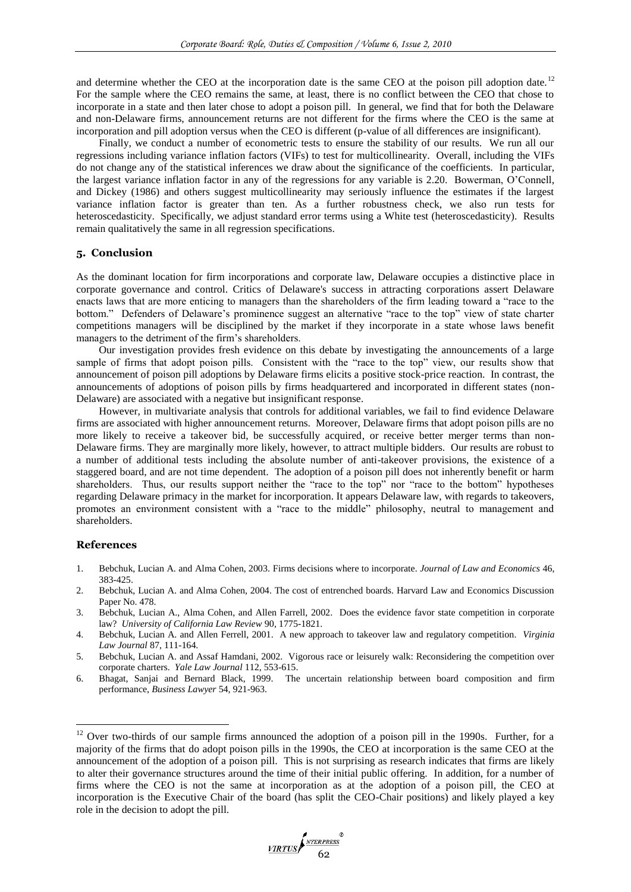and determine whether the CEO at the incorporation date is the same CEO at the poison pill adoption date.<sup>12</sup> For the sample where the CEO remains the same, at least, there is no conflict between the CEO that chose to incorporate in a state and then later chose to adopt a poison pill. In general, we find that for both the Delaware and non-Delaware firms, announcement returns are not different for the firms where the CEO is the same at incorporation and pill adoption versus when the CEO is different (p-value of all differences are insignificant).

Finally, we conduct a number of econometric tests to ensure the stability of our results. We run all our regressions including variance inflation factors (VIFs) to test for multicollinearity. Overall, including the VIFs do not change any of the statistical inferences we draw about the significance of the coefficients. In particular, the largest variance inflation factor in any of the regressions for any variable is 2.20. Bowerman, O"Connell, and Dickey (1986) and others suggest multicollinearity may seriously influence the estimates if the largest variance inflation factor is greater than ten. As a further robustness check, we also run tests for heteroscedasticity. Specifically, we adjust standard error terms using a White test (heteroscedasticity). Results remain qualitatively the same in all regression specifications.

# **5. Conclusion**

As the dominant location for firm incorporations and corporate law, Delaware occupies a distinctive place in corporate governance and control. Critics of Delaware's success in attracting corporations assert Delaware enacts laws that are more enticing to managers than the shareholders of the firm leading toward a "race to the bottom." Defenders of Delaware"s prominence suggest an alternative "race to the top" view of state charter competitions managers will be disciplined by the market if they incorporate in a state whose laws benefit managers to the detriment of the firm's shareholders.

Our investigation provides fresh evidence on this debate by investigating the announcements of a large sample of firms that adopt poison pills. Consistent with the "race to the top" view, our results show that announcement of poison pill adoptions by Delaware firms elicits a positive stock-price reaction. In contrast, the announcements of adoptions of poison pills by firms headquartered and incorporated in different states (non-Delaware) are associated with a negative but insignificant response.

However, in multivariate analysis that controls for additional variables, we fail to find evidence Delaware firms are associated with higher announcement returns. Moreover, Delaware firms that adopt poison pills are no more likely to receive a takeover bid, be successfully acquired, or receive better merger terms than non-Delaware firms. They are marginally more likely, however, to attract multiple bidders. Our results are robust to a number of additional tests including the absolute number of anti-takeover provisions, the existence of a staggered board, and are not time dependent. The adoption of a poison pill does not inherently benefit or harm shareholders. Thus, our results support neither the "race to the top" nor "race to the bottom" hypotheses regarding Delaware primacy in the market for incorporation. It appears Delaware law, with regards to takeovers, promotes an environment consistent with a "race to the middle" philosophy, neutral to management and shareholders.

#### **References**

1

- 1. Bebchuk, Lucian A. and Alma Cohen, 2003. Firms decisions where to incorporate. *Journal of Law and Economics* 46, 383-425.
- 2. Bebchuk, Lucian A. and Alma Cohen, 2004. The cost of entrenched boards. Harvard Law and Economics Discussion Paper No. 478.
- 3. Bebchuk, Lucian A., Alma Cohen, and Allen Farrell, 2002. Does the evidence favor state competition in corporate law? *University of California Law Review* 90, 1775-1821.
- 4. Bebchuk, Lucian A. and Allen Ferrell, 2001. A new approach to takeover law and regulatory competition. *Virginia Law Journal* 87, 111-164.
- 5. Bebchuk, Lucian A. and Assaf Hamdani, 2002. Vigorous race or leisurely walk: Reconsidering the competition over corporate charters. *Yale Law Journal* 112, 553-615.
- 6. Bhagat, Sanjai and Bernard Black, 1999. The uncertain relationship between board composition and firm performance, *Business Lawyer* 54, 921-963.

<sup>&</sup>lt;sup>12</sup> Over two-thirds of our sample firms announced the adoption of a poison pill in the 1990s. Further, for a majority of the firms that do adopt poison pills in the 1990s, the CEO at incorporation is the same CEO at the announcement of the adoption of a poison pill. This is not surprising as research indicates that firms are likely to alter their governance structures around the time of their initial public offering. In addition, for a number of firms where the CEO is not the same at incorporation as at the adoption of a poison pill, the CEO at incorporation is the Executive Chair of the board (has split the CEO-Chair positions) and likely played a key role in the decision to adopt the pill.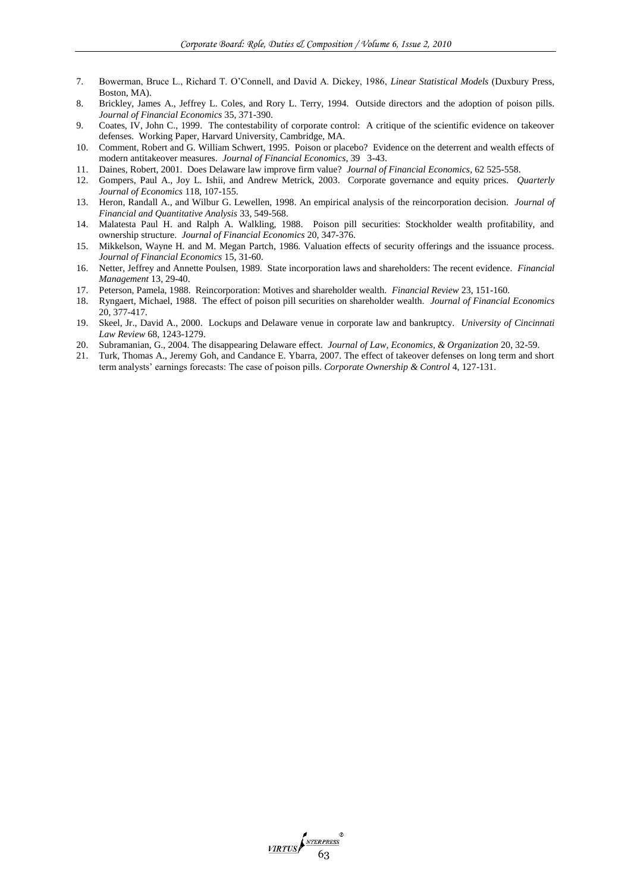- 7. Bowerman, Bruce L., Richard T. O"Connell, and David A. Dickey, 1986, *Linear Statistical Models* (Duxbury Press, Boston, MA).
- 8. Brickley, James A., Jeffrey L. Coles, and Rory L. Terry, 1994. Outside directors and the adoption of poison pills. *Journal of Financial Economics* 35, 371-390.
- 9. Coates, IV, John C., 1999. The contestability of corporate control: A critique of the scientific evidence on takeover defenses. Working Paper, Harvard University, Cambridge, MA.
- 10. Comment, Robert and G. William Schwert, 1995. Poison or placebo? Evidence on the deterrent and wealth effects of modern antitakeover measures. *Journal of Financial Economics*, 39 3-43.
- 11. Daines, Robert, 2001. Does Delaware law improve firm value? *Journal of Financial Economics*, 62 525-558.
- 12. Gompers, Paul A., Joy L. Ishii, and Andrew Metrick, 2003. Corporate governance and equity prices. *Quarterly Journal of Economics* 118, 107-155.
- 13. Heron, Randall A., and Wilbur G. Lewellen, 1998. An empirical analysis of the reincorporation decision. *Journal of Financial and Quantitative Analysis* 33, 549-568.
- 14. Malatesta Paul H. and Ralph A. Walkling, 1988. Poison pill securities: Stockholder wealth profitability, and ownership structure. *Journal of Financial Economics* 20, 347-376.
- 15. Mikkelson, Wayne H. and M. Megan Partch, 1986. Valuation effects of security offerings and the issuance process. *Journal of Financial Economics* 15, 31-60.
- 16. Netter, Jeffrey and Annette Poulsen, 1989. State incorporation laws and shareholders: The recent evidence. *Financial Management* 13, 29-40.
- 17. Peterson, Pamela, 1988. Reincorporation: Motives and shareholder wealth. *Financial Review* 23, 151-160.
- 18. Ryngaert, Michael, 1988. The effect of poison pill securities on shareholder wealth. *Journal of Financial Economics* 20, 377-417.
- 19. Skeel, Jr., David A., 2000. Lockups and Delaware venue in corporate law and bankruptcy. *University of Cincinnati Law Review* 68, 1243-1279.
- 
- 20. Subramanian, G., 2004. The disappearing Delaware effect. *Journal of Law, Economics, & Organization* 20, 32-59. 21. Turk, Thomas A., Jeremy Goh, and Candance E. Ybarra, 2007. The effect of takeover defenses on long term and short term analysts" earnings forecasts: The case of poison pills. *Corporate Ownership & Control* 4, 127-131.

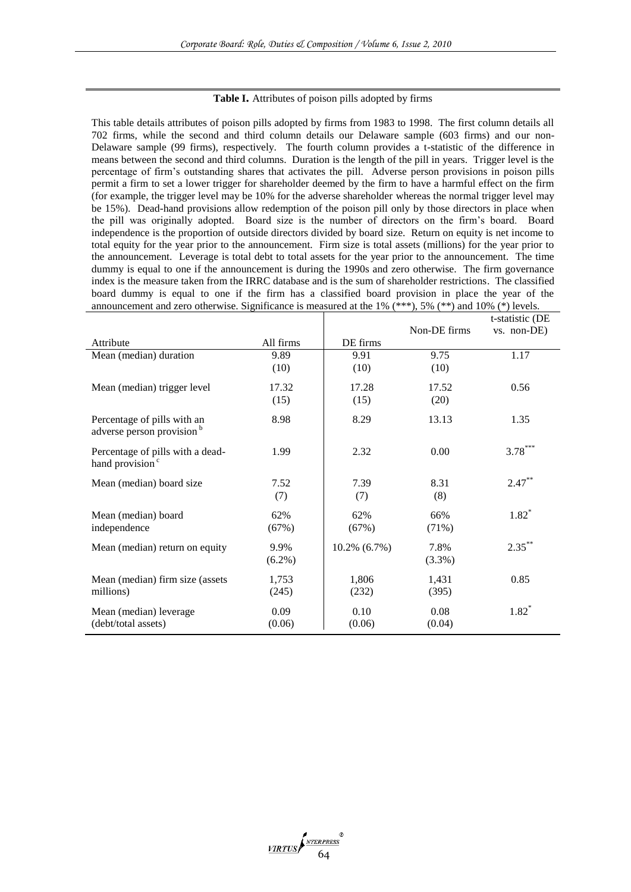## **Table I.** Attributes of poison pills adopted by firms

This table details attributes of poison pills adopted by firms from 1983 to 1998. The first column details all 702 firms, while the second and third column details our Delaware sample (603 firms) and our non-Delaware sample (99 firms), respectively. The fourth column provides a t-statistic of the difference in means between the second and third columns. Duration is the length of the pill in years. Trigger level is the percentage of firm"s outstanding shares that activates the pill. Adverse person provisions in poison pills permit a firm to set a lower trigger for shareholder deemed by the firm to have a harmful effect on the firm (for example, the trigger level may be 10% for the adverse shareholder whereas the normal trigger level may be 15%). Dead-hand provisions allow redemption of the poison pill only by those directors in place when the pill was originally adopted. Board size is the number of directors on the firm"s board. Board independence is the proportion of outside directors divided by board size. Return on equity is net income to total equity for the year prior to the announcement. Firm size is total assets (millions) for the year prior to the announcement. Leverage is total debt to total assets for the year prior to the announcement. The time dummy is equal to one if the announcement is during the 1990s and zero otherwise. The firm governance index is the measure taken from the IRRC database and is the sum of shareholder restrictions. The classified board dummy is equal to one if the firm has a classified board provision in place the year of the announcement and zero otherwise. Significance is measured at the 1%  $(***)$ , 5%  $(**)$  and 10%  $(*)$  levels.

|                                                                      |           |                 | Non-DE firms | t-statistic (DE<br>$vs.$ non-DE) |
|----------------------------------------------------------------------|-----------|-----------------|--------------|----------------------------------|
| Attribute                                                            | All firms | DE firms        |              |                                  |
| Mean (median) duration                                               | 9.89      | 9.91            | 9.75         | 1.17                             |
|                                                                      | (10)      | (10)            | (10)         |                                  |
| Mean (median) trigger level                                          | 17.32     | 17.28           | 17.52        | 0.56                             |
|                                                                      | (15)      | (15)            | (20)         |                                  |
| Percentage of pills with an<br>adverse person provision <sup>b</sup> | 8.98      | 8.29            | 13.13        | 1.35                             |
| Percentage of pills with a dead-<br>hand provision <sup>c</sup>      | 1.99      | 2.32            | 0.00         | $3.78***$                        |
| Mean (median) board size                                             | 7.52      | 7.39            | 8.31         | $2.47***$                        |
|                                                                      | (7)       | (7)             | (8)          |                                  |
| Mean (median) board                                                  | 62%       | 62%             | 66%          | $1.82*$                          |
| independence                                                         | (67%)     | (67%)           | (71%)        |                                  |
| Mean (median) return on equity                                       | 9.9%      | $10.2\%$ (6.7%) | 7.8%         | $2.35***$                        |
|                                                                      | $(6.2\%)$ |                 | (3.3%)       |                                  |
| Mean (median) firm size (assets                                      | 1,753     | 1,806           | 1,431        | 0.85                             |
| millions)                                                            | (245)     | (232)           | (395)        |                                  |
| Mean (median) leverage                                               | 0.09      | 0.10            | 0.08         | $1.82^*$                         |
| (debt/total assets)                                                  | (0.06)    | (0.06)          | (0.04)       |                                  |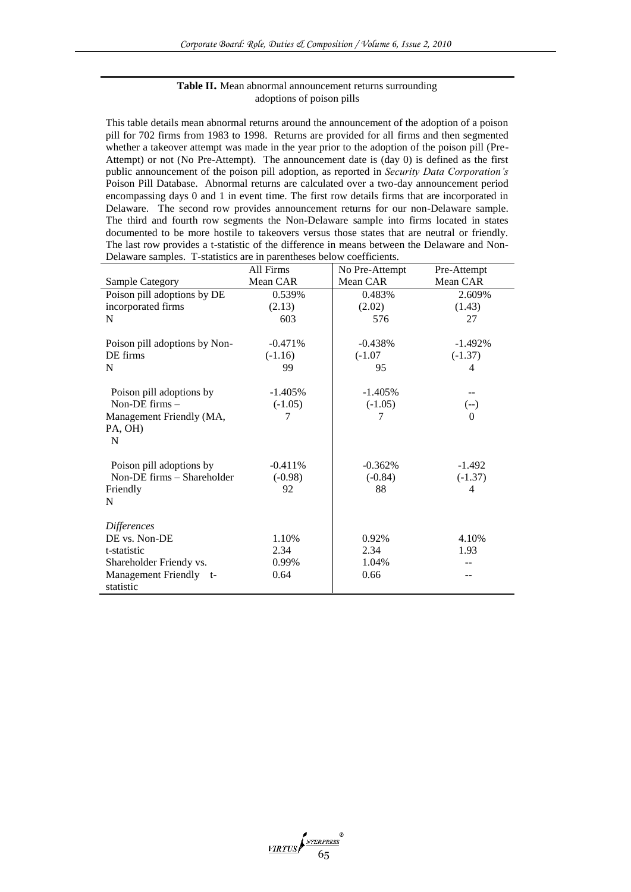# **Table II.** Mean abnormal announcement returns surrounding adoptions of poison pills

This table details mean abnormal returns around the announcement of the adoption of a poison pill for 702 firms from 1983 to 1998. Returns are provided for all firms and then segmented whether a takeover attempt was made in the year prior to the adoption of the poison pill (Pre-Attempt) or not (No Pre-Attempt). The announcement date is (day 0) is defined as the first public announcement of the poison pill adoption, as reported in *Security Data Corporation's* Poison Pill Database. Abnormal returns are calculated over a two-day announcement period encompassing days 0 and 1 in event time. The first row details firms that are incorporated in Delaware. The second row provides announcement returns for our non-Delaware sample. The third and fourth row segments the Non-Delaware sample into firms located in states documented to be more hostile to takeovers versus those states that are neutral or friendly. The last row provides a t-statistic of the difference in means between the Delaware and Non-Delaware samples. T-statistics are in parentheses below coefficients.

|                               | All Firms  | No Pre-Attempt | Pre-Attempt |
|-------------------------------|------------|----------------|-------------|
| Sample Category               | Mean CAR   | Mean CAR       | Mean CAR    |
| Poison pill adoptions by DE   | 0.539%     | 0.483%         | 2.609%      |
| incorporated firms            | (2.13)     | (2.02)         | (1.43)      |
| N                             | 603        | 576            | 27          |
|                               |            |                |             |
| Poison pill adoptions by Non- | $-0.471%$  | $-0.438%$      | $-1.492\%$  |
| DE firms                      | $(-1.16)$  | $(-1.07)$      | $(-1.37)$   |
| N                             | 99         | 95             | 4           |
|                               |            |                |             |
| Poison pill adoptions by      | $-1.405%$  | $-1.405%$      |             |
| Non-DE $firms -$              | $(-1.05)$  | $(-1.05)$      | $(-)$       |
| Management Friendly (MA,      | 7          | 7              | $\Omega$    |
| PA, OH)                       |            |                |             |
| N                             |            |                |             |
|                               |            |                |             |
| Poison pill adoptions by      | $-0.411\%$ | $-0.362%$      | $-1.492$    |
| Non-DE firms - Shareholder    | $(-0.98)$  | $(-0.84)$      | $(-1.37)$   |
| Friendly                      | 92         | 88             | 4           |
| N                             |            |                |             |
| Differences                   |            |                |             |
| DE vs. Non-DE                 | 1.10%      | 0.92%          | 4.10%       |
| t-statistic                   | 2.34       | 2.34           | 1.93        |
| Shareholder Friendy vs.       | 0.99%      | 1.04%          |             |
|                               | 0.64       | 0.66           |             |
| Management Friendly t-        |            |                |             |
| statistic                     |            |                |             |

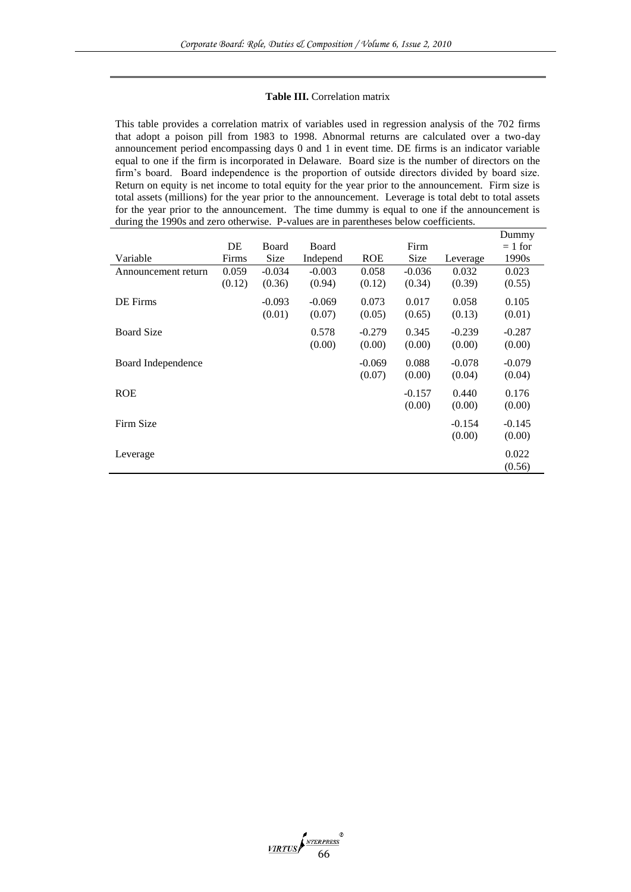#### **Table III.** Correlation matrix

This table provides a correlation matrix of variables used in regression analysis of the 702 firms that adopt a poison pill from 1983 to 1998. Abnormal returns are calculated over a two-day announcement period encompassing days 0 and 1 in event time. DE firms is an indicator variable equal to one if the firm is incorporated in Delaware. Board size is the number of directors on the firm"s board. Board independence is the proportion of outside directors divided by board size. Return on equity is net income to total equity for the year prior to the announcement. Firm size is total assets (millions) for the year prior to the announcement. Leverage is total debt to total assets for the year prior to the announcement. The time dummy is equal to one if the announcement is during the 1990s and zero otherwise. P-values are in parentheses below coefficients.

|                     |        |              |              |            |             |          | Dummy     |
|---------------------|--------|--------------|--------------|------------|-------------|----------|-----------|
|                     | DE     | <b>Board</b> | <b>Board</b> |            | Firm        |          | $= 1$ for |
| Variable            | Firms  | Size         | Independ     | <b>ROE</b> | <b>Size</b> | Leverage | 1990s     |
| Announcement return | 0.059  | $-0.034$     | $-0.003$     | 0.058      | $-0.036$    | 0.032    | 0.023     |
|                     | (0.12) | (0.36)       | (0.94)       | (0.12)     | (0.34)      | (0.39)   | (0.55)    |
| DE Firms            |        | $-0.093$     | $-0.069$     | 0.073      | 0.017       | 0.058    | 0.105     |
|                     |        | (0.01)       | (0.07)       | (0.05)     | (0.65)      | (0.13)   | (0.01)    |
| <b>Board Size</b>   |        |              | 0.578        | $-0.279$   | 0.345       | $-0.239$ | $-0.287$  |
|                     |        |              | (0.00)       | (0.00)     | (0.00)      | (0.00)   | (0.00)    |
| Board Independence  |        |              |              | $-0.069$   | 0.088       | $-0.078$ | $-0.079$  |
|                     |        |              |              | (0.07)     | (0.00)      | (0.04)   | (0.04)    |
| <b>ROE</b>          |        |              |              |            | $-0.157$    | 0.440    | 0.176     |
|                     |        |              |              |            | (0.00)      | (0.00)   | (0.00)    |
| Firm Size           |        |              |              |            |             | $-0.154$ | $-0.145$  |
|                     |        |              |              |            |             | (0.00)   | (0.00)    |
| Leverage            |        |              |              |            |             |          | 0.022     |
|                     |        |              |              |            |             |          | (0.56)    |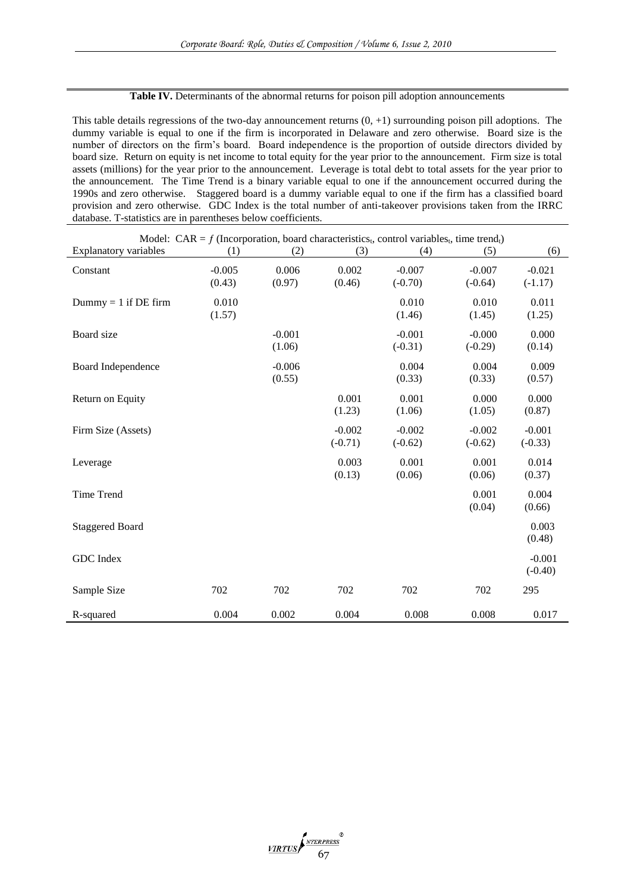# Table IV. Determinants of the abnormal returns for poison pill adoption announcements

This table details regressions of the two-day announcement returns (0, +1) surrounding poison pill adoptions. The dummy variable is equal to one if the firm is incorporated in Delaware and zero otherwise. Board size is the number of directors on the firm"s board. Board independence is the proportion of outside directors divided by board size. Return on equity is net income to total equity for the year prior to the announcement. Firm size is total assets (millions) for the year prior to the announcement. Leverage is total debt to total assets for the year prior to the announcement. The Time Trend is a binary variable equal to one if the announcement occurred during the 1990s and zero otherwise. Staggered board is a dummy variable equal to one if the firm has a classified board provision and zero otherwise. GDC Index is the total number of anti-takeover provisions taken from the IRRC database. T-statistics are in parentheses below coefficients.

| <b>Explanatory variables</b> | (1)      | (2)      | (3)       | Model: CAR = $f$ (Incorporation, board characteristics <sub>t</sub> , control variables <sub>t</sub> , time trend <sub>t</sub> )<br>(4) | (5)       | (6)       |
|------------------------------|----------|----------|-----------|-----------------------------------------------------------------------------------------------------------------------------------------|-----------|-----------|
|                              |          |          |           |                                                                                                                                         |           |           |
| Constant                     | $-0.005$ | 0.006    | 0.002     | $-0.007$                                                                                                                                | $-0.007$  | $-0.021$  |
|                              | (0.43)   | (0.97)   | (0.46)    | $(-0.70)$                                                                                                                               | $(-0.64)$ | $(-1.17)$ |
| $Dummy = 1$ if DE firm       | 0.010    |          |           | 0.010                                                                                                                                   | 0.010     | 0.011     |
|                              | (1.57)   |          |           | (1.46)                                                                                                                                  | (1.45)    | (1.25)    |
| Board size                   |          | $-0.001$ |           | $-0.001$                                                                                                                                | $-0.000$  | 0.000     |
|                              |          | (1.06)   |           | $(-0.31)$                                                                                                                               | $(-0.29)$ | (0.14)    |
| Board Independence           |          | $-0.006$ |           | 0.004                                                                                                                                   | 0.004     | 0.009     |
|                              |          | (0.55)   |           | (0.33)                                                                                                                                  | (0.33)    | (0.57)    |
| Return on Equity             |          |          | 0.001     | 0.001                                                                                                                                   | 0.000     | 0.000     |
|                              |          |          | (1.23)    | (1.06)                                                                                                                                  | (1.05)    | (0.87)    |
| Firm Size (Assets)           |          |          | $-0.002$  | $-0.002$                                                                                                                                | $-0.002$  | $-0.001$  |
|                              |          |          | $(-0.71)$ | $(-0.62)$                                                                                                                               | $(-0.62)$ | $(-0.33)$ |
| Leverage                     |          |          | 0.003     | 0.001                                                                                                                                   | 0.001     | 0.014     |
|                              |          |          | (0.13)    | (0.06)                                                                                                                                  | (0.06)    | (0.37)    |
| <b>Time Trend</b>            |          |          |           |                                                                                                                                         | 0.001     | 0.004     |
|                              |          |          |           |                                                                                                                                         | (0.04)    | (0.66)    |
| <b>Staggered Board</b>       |          |          |           |                                                                                                                                         |           | 0.003     |
|                              |          |          |           |                                                                                                                                         |           | (0.48)    |
| GDC Index                    |          |          |           |                                                                                                                                         |           | $-0.001$  |
|                              |          |          |           |                                                                                                                                         |           | $(-0.40)$ |
| Sample Size                  | 702      | 702      | 702       | 702                                                                                                                                     | 702       | 295       |
| R-squared                    | 0.004    | 0.002    | 0.004     | 0.008                                                                                                                                   | 0.008     | 0.017     |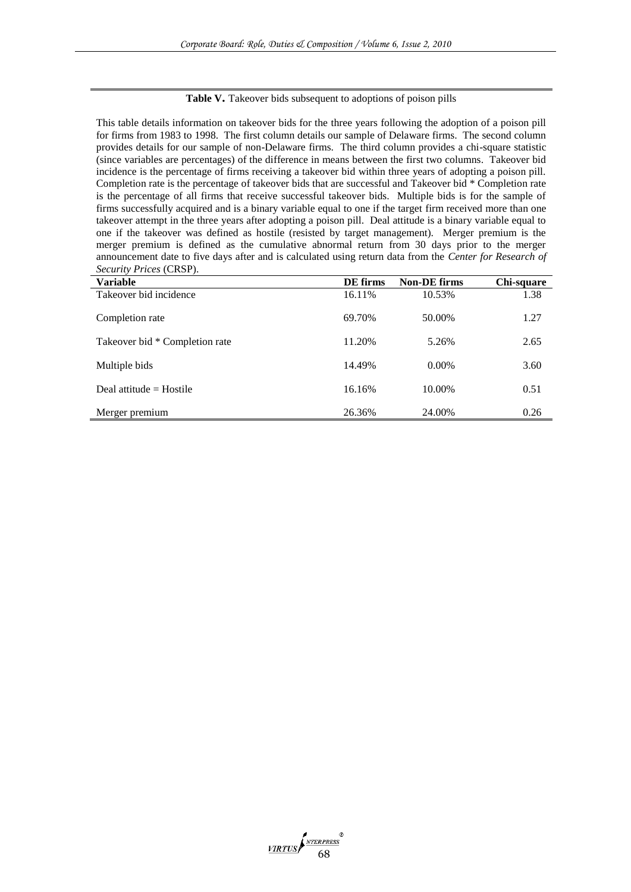## Table V. Takeover bids subsequent to adoptions of poison pills

This table details information on takeover bids for the three years following the adoption of a poison pill for firms from 1983 to 1998. The first column details our sample of Delaware firms. The second column provides details for our sample of non-Delaware firms. The third column provides a chi-square statistic (since variables are percentages) of the difference in means between the first two columns. Takeover bid incidence is the percentage of firms receiving a takeover bid within three years of adopting a poison pill. Completion rate is the percentage of takeover bids that are successful and Takeover bid \* Completion rate is the percentage of all firms that receive successful takeover bids. Multiple bids is for the sample of firms successfully acquired and is a binary variable equal to one if the target firm received more than one takeover attempt in the three years after adopting a poison pill. Deal attitude is a binary variable equal to one if the takeover was defined as hostile (resisted by target management). Merger premium is the merger premium is defined as the cumulative abnormal return from 30 days prior to the merger announcement date to five days after and is calculated using return data from the *Center for Research of Security Prices* (CRSP).

| <b>Variable</b>                | DE firms | <b>Non-DE firms</b> | Chi-square |
|--------------------------------|----------|---------------------|------------|
| Takeover bid incidence         | 16.11%   | 10.53%              | 1.38       |
| Completion rate                | 69.70%   | 50.00%              | 1.27       |
| Takeover bid * Completion rate | 11.20%   | 5.26%               | 2.65       |
| Multiple bids                  | 14.49%   | $0.00\%$            | 3.60       |
| Deal attitude $=$ Hostile      | 16.16%   | 10.00%              | 0.51       |
| Merger premium                 | 26.36%   | 24.00%              | 0.26       |